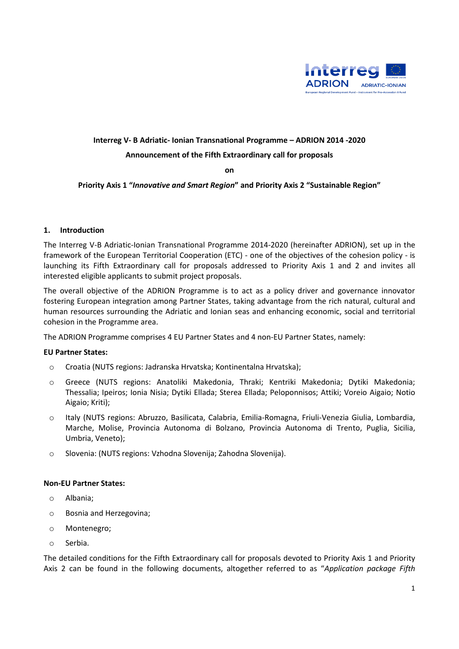

### **Interreg V- B Adriatic- Ionian Transnational Programme – ADRION 2014 -2020**

### **Announcement of the Fifth Extraordinary call for proposals**

**on** 

## **Priority Axis 1 "***Innovative and Smart Region***" and Priority Axis 2 "Sustainable Region"**

#### **1. Introduction**

The Interreg V-B Adriatic-Ionian Transnational Programme 2014-2020 (hereinafter ADRION), set up in the framework of the European Territorial Cooperation (ETC) - one of the objectives of the cohesion policy - is launching its Fifth Extraordinary call for proposals addressed to Priority Axis 1 and 2 and invites all interested eligible applicants to submit project proposals.

The overall objective of the ADRION Programme is to act as a policy driver and governance innovator fostering European integration among Partner States, taking advantage from the rich natural, cultural and human resources surrounding the Adriatic and Ionian seas and enhancing economic, social and territorial cohesion in the Programme area.

The ADRION Programme comprises 4 EU Partner States and 4 non-EU Partner States, namely:

#### **EU Partner States:**

- o Croatia (NUTS regions: Jadranska Hrvatska; Kontinentalna Hrvatska);
- o Greece (NUTS regions: Anatoliki Makedonia, Thraki; Kentriki Makedonia; Dytiki Makedonia; Thessalia; Ipeiros; Ionia Nisia; Dytiki Ellada; Sterea Ellada; Peloponnisos; Attiki; Voreio Aigaio; Notio Aigaio; Kriti);
- o Italy (NUTS regions: Abruzzo, Basilicata, Calabria, Emilia-Romagna, Friuli-Venezia Giulia, Lombardia, Marche, Molise, Provincia Autonoma di Bolzano, Provincia Autonoma di Trento, Puglia, Sicilia, Umbria, Veneto);
- o Slovenia: (NUTS regions: Vzhodna Slovenija; Zahodna Slovenija).

#### **Non-EU Partner States:**

- o Albania;
- o Bosnia and Herzegovina;
- o Montenegro;
- o Serbia.

The detailed conditions for the Fifth Extraordinary call for proposals devoted to Priority Axis 1 and Priority Axis 2 can be found in the following documents, altogether referred to as "*Application package Fifth*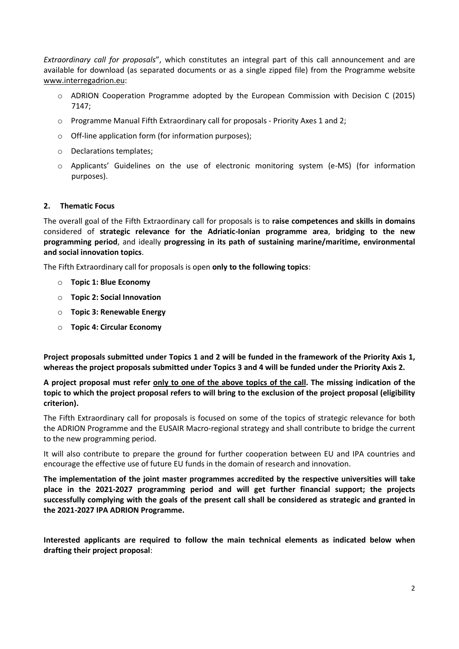*Extraordinary call for proposals*", which constitutes an integral part of this call announcement and are available for download (as separated documents or as a single zipped file) from the Programme website [www.interregadrion.eu:](http://www.interregadrion.eu/)

- o ADRION Cooperation Programme adopted by the European Commission with Decision C (2015) 7147;
- $\circ$  Programme Manual Fifth Extraordinary call for proposals Priority Axes 1 and 2;
- o Off-line application form (for information purposes);
- o Declarations templates;
- o Applicants' Guidelines on the use of electronic monitoring system (e-MS) (for information purposes).

#### **2. Thematic Focus**

The overall goal of the Fifth Extraordinary call for proposals is to **raise competences and skills in domains** considered of **strategic relevance for the Adriatic-Ionian programme area**, **bridging to the new programming period**, and ideally **progressing in its path of sustaining marine/maritime, environmental and social innovation topics**.

The Fifth Extraordinary call for proposals is open **only to the following topics**:

- o **Topic 1: Blue Economy**
- o **Topic 2: Social Innovation**
- o **Topic 3: Renewable Energy**
- o **Topic 4: Circular Economy**

**Project proposals submitted under Topics 1 and 2 will be funded in the framework of the Priority Axis 1, whereas the project proposals submitted under Topics 3 and 4 will be funded under the Priority Axis 2.**

**A project proposal must refer only to one of the above topics of the call. The missing indication of the topic to which the project proposal refers to will bring to the exclusion of the project proposal (eligibility criterion).**

The Fifth Extraordinary call for proposals is focused on some of the topics of strategic relevance for both the ADRION Programme and the EUSAIR Macro-regional strategy and shall contribute to bridge the current to the new programming period.

It will also contribute to prepare the ground for further cooperation between EU and IPA countries and encourage the effective use of future EU funds in the domain of research and innovation.

**The implementation of the joint master programmes accredited by the respective universities will take place in the 2021-2027 programming period and will get further financial support; the projects successfully complying with the goals of the present call shall be considered as strategic and granted in the 2021-2027 IPA ADRION Programme.** 

**Interested applicants are required to follow the main technical elements as indicated below when drafting their project proposal**: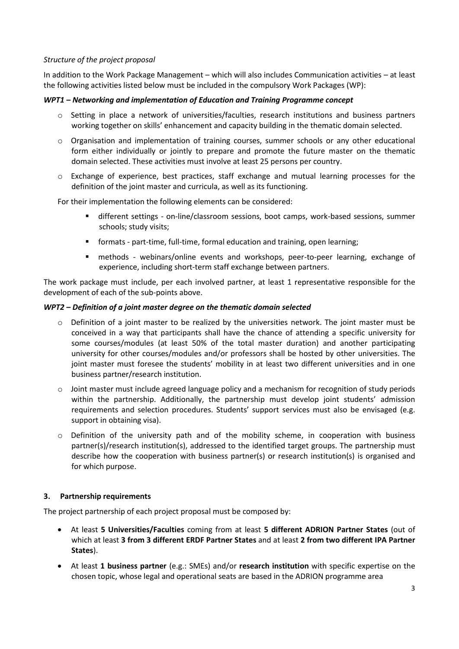## *Structure of the project proposal*

In addition to the Work Package Management – which will also includes Communication activities – at least the following activities listed below must be included in the compulsory Work Packages (WP):

## *WPT1 – Networking and implementation of Education and Training Programme concept*

- o Setting in place a network of universities/faculties, research institutions and business partners working together on skills' enhancement and capacity building in the thematic domain selected.
- $\circ$  Organisation and implementation of training courses, summer schools or any other educational form either individually or jointly to prepare and promote the future master on the thematic domain selected. These activities must involve at least 25 persons per country.
- o Exchange of experience, best practices, staff exchange and mutual learning processes for the definition of the joint master and curricula, as well as its functioning.

For their implementation the following elements can be considered:

- different settings on-line/classroom sessions, boot camps, work-based sessions, summer schools; study visits;
- formats part-time, full-time, formal education and training, open learning;
- methods webinars/online events and workshops, peer-to-peer learning, exchange of experience, including short-term staff exchange between partners.

The work package must include, per each involved partner, at least 1 representative responsible for the development of each of the sub-points above.

#### *WPT2 – Definition of a joint master degree on the thematic domain selected*

- $\circ$  Definition of a joint master to be realized by the universities network. The joint master must be conceived in a way that participants shall have the chance of attending a specific university for some courses/modules (at least 50% of the total master duration) and another participating university for other courses/modules and/or professors shall be hosted by other universities. The joint master must foresee the students' mobility in at least two different universities and in one business partner/research institution.
- $\circ$  Joint master must include agreed language policy and a mechanism for recognition of study periods within the partnership. Additionally, the partnership must develop joint students' admission requirements and selection procedures. Students' support services must also be envisaged (e.g. support in obtaining visa).
- o Definition of the university path and of the mobility scheme, in cooperation with business partner(s)/research institution(s), addressed to the identified target groups. The partnership must describe how the cooperation with business partner(s) or research institution(s) is organised and for which purpose.

# **3. Partnership requirements**

The project partnership of each project proposal must be composed by:

- At least **5 Universities/Faculties** coming from at least **5 different ADRION Partner States** (out of which at least **3 from 3 different ERDF Partner States** and at least **2 from two different IPA Partner States**).
- At least **1 business partner** (e.g.: SMEs) and/or **research institution** with specific expertise on the chosen topic, whose legal and operational seats are based in the ADRION programme area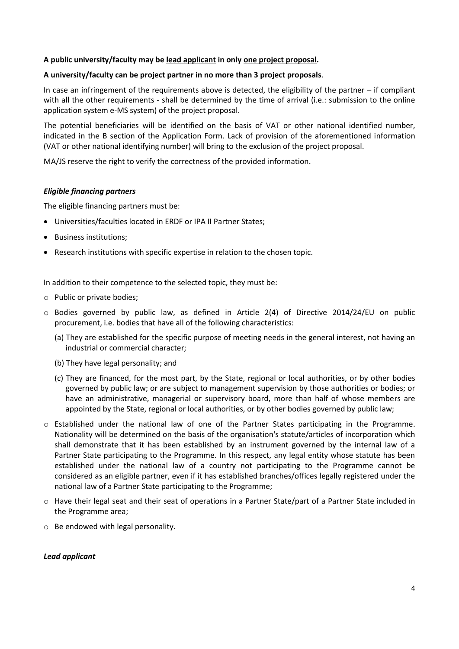## **A public university/faculty may be lead applicant in only one project proposal.**

## **A university/faculty can be project partner in no more than 3 project proposals**.

In case an infringement of the requirements above is detected, the eligibility of the partner – if compliant with all the other requirements - shall be determined by the time of arrival (i.e.: submission to the online application system e-MS system) of the project proposal.

The potential beneficiaries will be identified on the basis of VAT or other national identified number, indicated in the B section of the Application Form. Lack of provision of the aforementioned information (VAT or other national identifying number) will bring to the exclusion of the project proposal.

MA/JS reserve the right to verify the correctness of the provided information.

#### *Eligible financing partners*

The eligible financing partners must be:

- Universities/faculties located in ERDF or IPA II Partner States;
- Business institutions;
- Research institutions with specific expertise in relation to the chosen topic.

In addition to their competence to the selected topic, they must be:

- o Public or private bodies;
- o Bodies governed by public law, as defined in Article 2(4) of Directive 2014/24/EU on public procurement, i.e. bodies that have all of the following characteristics:
	- (a) They are established for the specific purpose of meeting needs in the general interest, not having an industrial or commercial character;
	- (b) They have legal personality; and
	- (c) They are financed, for the most part, by the State, regional or local authorities, or by other bodies governed by public law; or are subject to management supervision by those authorities or bodies; or have an administrative, managerial or supervisory board, more than half of whose members are appointed by the State, regional or local authorities, or by other bodies governed by public law;
- o Established under the national law of one of the Partner States participating in the Programme. Nationality will be determined on the basis of the organisation's statute/articles of incorporation which shall demonstrate that it has been established by an instrument governed by the internal law of a Partner State participating to the Programme. In this respect, any legal entity whose statute has been established under the national law of a country not participating to the Programme cannot be considered as an eligible partner, even if it has established branches/offices legally registered under the national law of a Partner State participating to the Programme;
- o Have their legal seat and their seat of operations in a Partner State/part of a Partner State included in the Programme area;
- o Be endowed with legal personality.

#### *Lead applicant*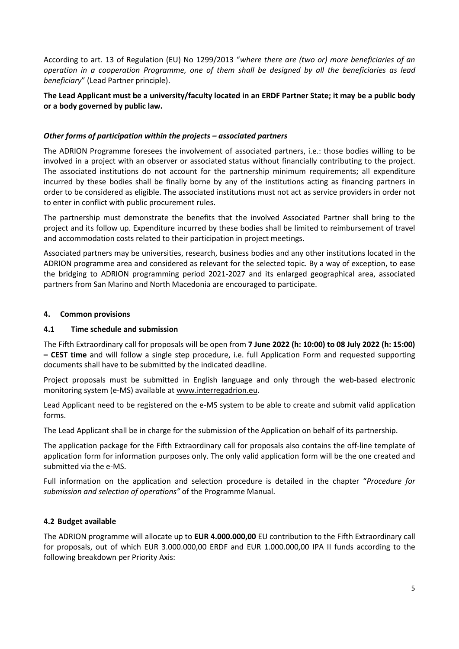According to art. 13 of Regulation (EU) No 1299/2013 "*where there are (two or) more beneficiaries of an operation in a cooperation Programme, one of them shall be designed by all the beneficiaries as lead beneficiary*" (Lead Partner principle).

# **The Lead Applicant must be a university/faculty located in an ERDF Partner State; it may be a public body or a body governed by public law.**

## *Other forms of participation within the projects – associated partners*

The ADRION Programme foresees the involvement of associated partners, i.e.: those bodies willing to be involved in a project with an observer or associated status without financially contributing to the project. The associated institutions do not account for the partnership minimum requirements; all expenditure incurred by these bodies shall be finally borne by any of the institutions acting as financing partners in order to be considered as eligible. The associated institutions must not act as service providers in order not to enter in conflict with public procurement rules.

The partnership must demonstrate the benefits that the involved Associated Partner shall bring to the project and its follow up. Expenditure incurred by these bodies shall be limited to reimbursement of travel and accommodation costs related to their participation in project meetings.

Associated partners may be universities, research, business bodies and any other institutions located in the ADRION programme area and considered as relevant for the selected topic. By a way of exception, to ease the bridging to ADRION programming period 2021-2027 and its enlarged geographical area, associated partners from San Marino and North Macedonia are encouraged to participate.

#### **4. Common provisions**

### **4.1 Time schedule and submission**

The Fifth Extraordinary call for proposals will be open from **7 June 2022 (h: 10:00) to 08 July 2022 (h: 15:00) – CEST time** and will follow a single step procedure, i.e. full Application Form and requested supporting documents shall have to be submitted by the indicated deadline.

Project proposals must be submitted in English language and only through the web-based electronic monitoring system (e-MS) available at [www.interregadrion.eu.](http://www.interregadrion.eu/)

Lead Applicant need to be registered on the e-MS system to be able to create and submit valid application forms.

The Lead Applicant shall be in charge for the submission of the Application on behalf of its partnership.

The application package for the Fifth Extraordinary call for proposals also contains the off-line template of application form for information purposes only. The only valid application form will be the one created and submitted via the e-MS.

Full information on the application and selection procedure is detailed in the chapter "*Procedure for submission and selection of operations"* of the Programme Manual.

# **4.2 Budget available**

The ADRION programme will allocate up to **EUR 4.000.000,00** EU contribution to the Fifth Extraordinary call for proposals, out of which EUR 3.000.000,00 ERDF and EUR 1.000.000,00 IPA II funds according to the following breakdown per Priority Axis: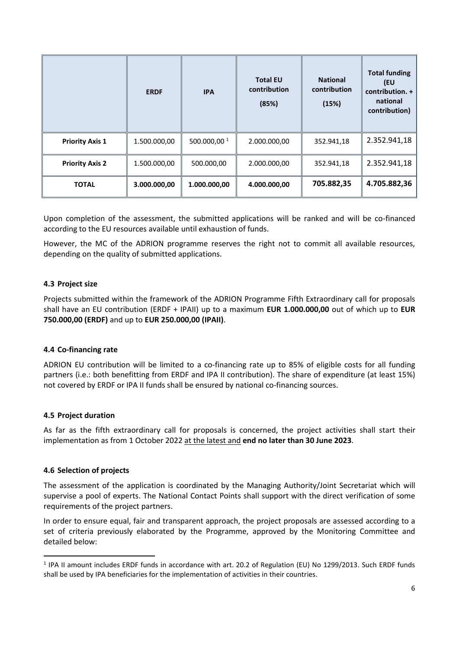|                        | <b>ERDF</b>  | <b>IPA</b>     | <b>Total EU</b><br>contribution<br>(85%) | <b>National</b><br>contribution<br>(15%) | <b>Total funding</b><br>(EU<br>contribution. +<br>national<br>contribution) |
|------------------------|--------------|----------------|------------------------------------------|------------------------------------------|-----------------------------------------------------------------------------|
| <b>Priority Axis 1</b> | 1.500.000,00 | 500.000,00 $1$ | 2.000.000,00                             | 352.941,18                               | 2.352.941,18                                                                |
| <b>Priority Axis 2</b> | 1.500.000,00 | 500.000,00     | 2.000.000,00                             | 352.941,18                               | 2.352.941,18                                                                |
| <b>TOTAL</b>           | 3.000.000,00 | 1.000.000,00   | 4.000.000,00                             | 705.882,35                               | 4.705.882,36                                                                |

Upon completion of the assessment, the submitted applications will be ranked and will be co-financed according to the EU resources available until exhaustion of funds.

However, the MC of the ADRION programme reserves the right not to commit all available resources, depending on the quality of submitted applications.

## **4.3 Project size**

Projects submitted within the framework of the ADRION Programme Fifth Extraordinary call for proposals shall have an EU contribution (ERDF + IPAII) up to a maximum **EUR 1.000.000,00** out of which up to **EUR 750.000,00 (ERDF)** and up to **EUR 250.000,00 (IPAII)**.

#### **4.4 Co-financing rate**

ADRION EU contribution will be limited to a co-financing rate up to 85% of eligible costs for all funding partners (i.e.: both benefitting from ERDF and IPA II contribution). The share of expenditure (at least 15%) not covered by ERDF or IPA II funds shall be ensured by national co-financing sources.

#### **4.5 Project duration**

As far as the fifth extraordinary call for proposals is concerned, the project activities shall start their implementation as from 1 October 2022 at the latest and **end no later than 30 June 2023**.

#### **4.6 Selection of projects**

The assessment of the application is coordinated by the Managing Authority/Joint Secretariat which will supervise a pool of experts. The National Contact Points shall support with the direct verification of some requirements of the project partners.

In order to ensure equal, fair and transparent approach, the project proposals are assessed according to a set of criteria previously elaborated by the Programme, approved by the Monitoring Committee and detailed below:

<sup>1</sup> IPA II amount includes ERDF funds in accordance with art. 20.2 of Regulation (EU) No 1299/2013. Such ERDF funds shall be used by IPA beneficiaries for the implementation of activities in their countries.